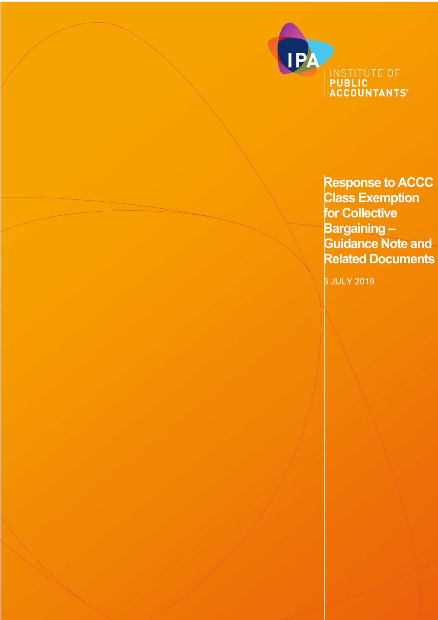

**Response to ACCC Class Exemption for Collective Bargaining – Guidance Note and Related Documents**

3 JULY 2019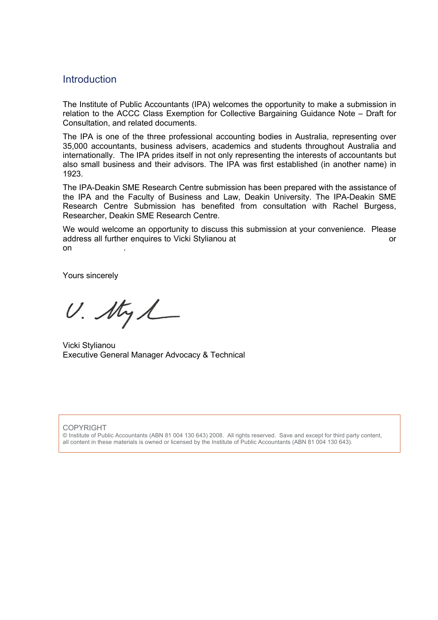# Introduction

The Institute of Public Accountants (IPA) welcomes the opportunity to make a submission in relation to the ACCC Class Exemption for Collective Bargaining Guidance Note – Draft for Consultation, and related documents.

The IPA is one of the three professional accounting bodies in Australia, representing over 35,000 accountants, business advisers, academics and students throughout Australia and internationally. The IPA prides itself in not only representing the interests of accountants but also small business and their advisors. The IPA was first established (in another name) in 1923.

The IPA-Deakin SME Research Centre submission has been prepared with the assistance of the IPA and the Faculty of Business and Law, Deakin University. The IPA-Deakin SME Research Centre Submission has benefited from consultation with Rachel Burgess, Researcher, Deakin SME Research Centre.

We would welcome an opportunity to discuss this submission at your convenience. Please address all further enquires to Vicki Stylianou at or on .

Yours sincerely

 $U.$  My  $\mathcal{L}_{-}$ 

Vicki Stylianou Executive General Manager Advocacy & Technical

#### COPYRIGHT

© Institute of Public Accountants (ABN 81 004 130 643) 2008. All rights reserved. Save and except for third party content, all content in these materials is owned or licensed by the Institute of Public Accountants (ABN 81 004 130 643).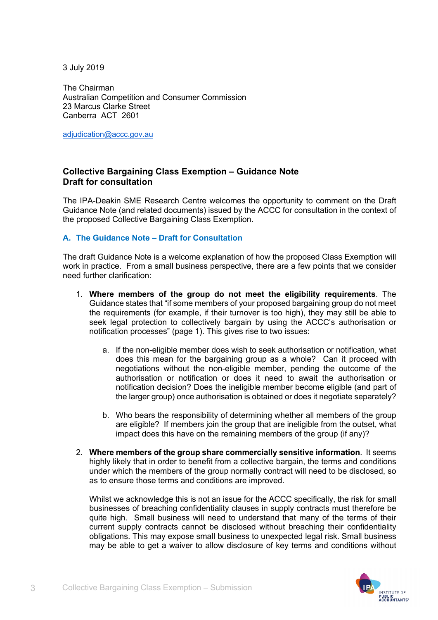3 July 2019

The Chairman Australian Competition and Consumer Commission 23 Marcus Clarke Street Canberra ACT 2601

adjudication@accc.gov.au

## **Collective Bargaining Class Exemption – Guidance Note Draft for consultation**

The IPA-Deakin SME Research Centre welcomes the opportunity to comment on the Draft Guidance Note (and related documents) issued by the ACCC for consultation in the context of the proposed Collective Bargaining Class Exemption.

### **A. The Guidance Note – Draft for Consultation**

The draft Guidance Note is a welcome explanation of how the proposed Class Exemption will work in practice. From a small business perspective, there are a few points that we consider need further clarification:

- 1. **Where members of the group do not meet the eligibility requirements**. The Guidance states that "if some members of your proposed bargaining group do not meet the requirements (for example, if their turnover is too high), they may still be able to seek legal protection to collectively bargain by using the ACCC's authorisation or notification processes" (page 1). This gives rise to two issues:
	- a. If the non-eligible member does wish to seek authorisation or notification, what does this mean for the bargaining group as a whole? Can it proceed with negotiations without the non-eligible member, pending the outcome of the authorisation or notification or does it need to await the authorisation or notification decision? Does the ineligible member become eligible (and part of the larger group) once authorisation is obtained or does it negotiate separately?
	- b. Who bears the responsibility of determining whether all members of the group are eligible? If members join the group that are ineligible from the outset, what impact does this have on the remaining members of the group (if any)?
- 2. **Where members of the group share commercially sensitive information**. It seems highly likely that in order to benefit from a collective bargain, the terms and conditions under which the members of the group normally contract will need to be disclosed, so as to ensure those terms and conditions are improved.

Whilst we acknowledge this is not an issue for the ACCC specifically, the risk for small businesses of breaching confidentiality clauses in supply contracts must therefore be quite high. Small business will need to understand that many of the terms of their current supply contracts cannot be disclosed without breaching their confidentiality obligations. This may expose small business to unexpected legal risk. Small business may be able to get a waiver to allow disclosure of key terms and conditions without

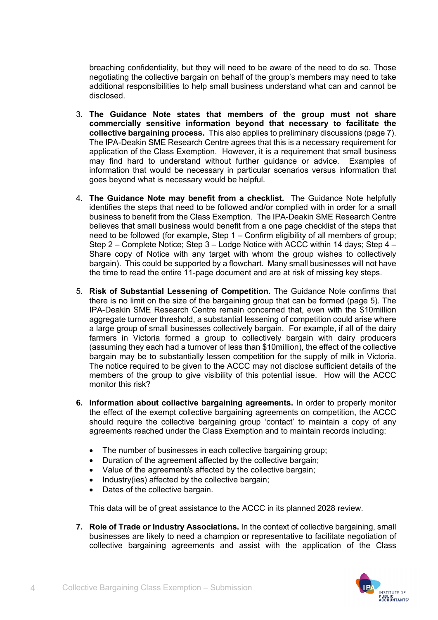breaching confidentiality, but they will need to be aware of the need to do so. Those negotiating the collective bargain on behalf of the group's members may need to take additional responsibilities to help small business understand what can and cannot be disclosed.

- 3. **The Guidance Note states that members of the group must not share commercially sensitive information beyond that necessary to facilitate the collective bargaining process.** This also applies to preliminary discussions (page 7). The IPA-Deakin SME Research Centre agrees that this is a necessary requirement for application of the Class Exemption. However, it is a requirement that small business may find hard to understand without further guidance or advice. Examples of information that would be necessary in particular scenarios versus information that goes beyond what is necessary would be helpful.
- 4. **The Guidance Note may benefit from a checklist.** The Guidance Note helpfully identifies the steps that need to be followed and/or complied with in order for a small business to benefit from the Class Exemption. The IPA-Deakin SME Research Centre believes that small business would benefit from a one page checklist of the steps that need to be followed (for example, Step 1 – Confirm eligibility of all members of group; Step 2 – Complete Notice; Step 3 – Lodge Notice with ACCC within 14 days; Step 4 – Share copy of Notice with any target with whom the group wishes to collectively bargain). This could be supported by a flowchart. Many small businesses will not have the time to read the entire 11-page document and are at risk of missing key steps.
- 5. **Risk of Substantial Lessening of Competition.** The Guidance Note confirms that there is no limit on the size of the bargaining group that can be formed (page 5). The IPA-Deakin SME Research Centre remain concerned that, even with the \$10million aggregate turnover threshold, a substantial lessening of competition could arise where a large group of small businesses collectively bargain. For example, if all of the dairy farmers in Victoria formed a group to collectively bargain with dairy producers (assuming they each had a turnover of less than \$10million), the effect of the collective bargain may be to substantially lessen competition for the supply of milk in Victoria. The notice required to be given to the ACCC may not disclose sufficient details of the members of the group to give visibility of this potential issue. How will the ACCC monitor this risk?
- **6. Information about collective bargaining agreements.** In order to properly monitor the effect of the exempt collective bargaining agreements on competition, the ACCC should require the collective bargaining group 'contact' to maintain a copy of any agreements reached under the Class Exemption and to maintain records including:
	- The number of businesses in each collective bargaining group;
	- Duration of the agreement affected by the collective bargain;
	- Value of the agreement/s affected by the collective bargain;
	- Industry(ies) affected by the collective bargain;
	- Dates of the collective bargain.

This data will be of great assistance to the ACCC in its planned 2028 review.

**7. Role of Trade or Industry Associations.** In the context of collective bargaining, small businesses are likely to need a champion or representative to facilitate negotiation of collective bargaining agreements and assist with the application of the Class